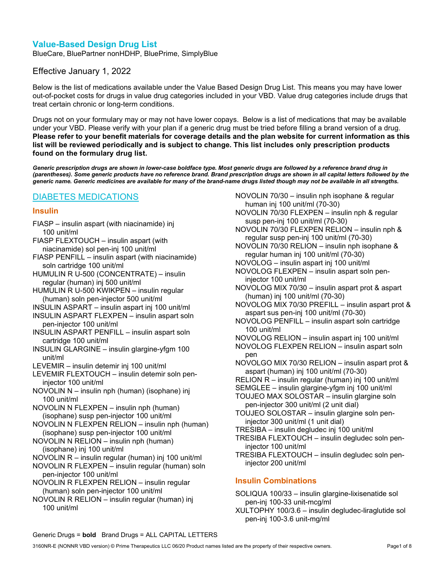# Value-Based Design Drug List

BlueCare, BluePartner nonHDHP, BluePrime, SimplyBlue

## Effective January 1, 2022

Below is the list of medications available under the Value Based Design Drug List. This means you may have lower out-of-pocket costs for drugs in value drug categories included in your VBD. Value drug categories include drugs that treat certain chronic or long-term conditions.

Drugs not on your formulary may or may not have lower copays. Below is a list of medications that may be available under your VBD. Please verify with your plan if a generic drug must be tried before filling a brand version of a drug. Please refer to your benefit materials for coverage details and the plan website for current information as this list will be reviewed periodically and is subject to change. This list includes only prescription products found on the formulary drug list.

Generic prescription drugs are shown in lower-case boldface type. Most generic drugs are followed by a reference brand drug in (parentheses). Some generic products have no reference brand. Brand prescription drugs are shown in all capital letters followed by the generic name. Generic medicines are available for many of the brand-name drugs listed though may not be available in all strengths.

## DIABETES MEDICATIONS

#### Insulin

- FIASP insulin aspart (with niacinamide) inj 100 unit/ml
- FIASP FLEXTOUCH insulin aspart (with niacinamide) sol pen-inj 100 unit/ml

FIASP PENFILL – insulin aspart (with niacinamide) soln cartridge 100 unit/ml

HUMULIN R U-500 (CONCENTRATE) – insulin regular (human) inj 500 unit/ml

- HUMULIN R U-500 KWIKPEN insulin regular (human) soln pen-injector 500 unit/ml
- INSULIN ASPART insulin aspart inj 100 unit/ml
- INSULIN ASPART FLEXPEN insulin aspart soln pen-injector 100 unit/ml
- INSULIN ASPART PENFILL insulin aspart soln cartridge 100 unit/ml
- INSULIN GLARGINE insulin glargine-yfgm 100 unit/ml
- LEVEMIR insulin detemir inj 100 unit/ml
- LEVEMIR FLEXTOUCH insulin detemir soln peninjector 100 unit/ml
- NOVOLIN N insulin nph (human) (isophane) inj 100 unit/ml
- NOVOLIN N FLEXPEN insulin nph (human) (isophane) susp pen-injector 100 unit/ml
- NOVOLIN N FLEXPEN RELION insulin nph (human) (isophane) susp pen-injector 100 unit/ml
- NOVOLIN N RELION insulin nph (human) (isophane) inj 100 unit/ml
- NOVOLIN R insulin regular (human) inj 100 unit/ml
- NOVOLIN R FLEXPEN insulin regular (human) soln pen-injector 100 unit/ml
- NOVOLIN R FLEXPEN RELION insulin regular (human) soln pen-injector 100 unit/ml
- NOVOLIN R RELION insulin regular (human) inj 100 unit/ml
- NOVOLIN 70/30 insulin nph isophane & regular human inj 100 unit/ml (70-30)
- NOVOLIN 70/30 FLEXPEN insulin nph & regular susp pen-inj 100 unit/ml (70-30)
- NOVOLIN 70/30 FLEXPEN RELION insulin nph & regular susp pen-inj 100 unit/ml (70-30)
- NOVOLIN 70/30 RELION insulin nph isophane & regular human inj 100 unit/ml (70-30)
- NOVOLOG insulin aspart inj 100 unit/ml
- NOVOLOG FLEXPEN insulin aspart soln peninjector 100 unit/ml
- NOVOLOG MIX 70/30 insulin aspart prot & aspart (human) inj 100 unit/ml (70-30)
- NOVOLOG MIX 70/30 PREFILL insulin aspart prot & aspart sus pen-inj 100 unit/ml (70-30)
- NOVOLOG PENFILL insulin aspart soln cartridge 100 unit/ml
- NOVOLOG RELION insulin aspart inj 100 unit/ml
- NOVOLOG FLEXPEN RELION insulin aspart soln pen
- NOVOLGO MIX 70/30 RELION insulin aspart prot & aspart (human) inj 100 unit/ml (70-30)
- RELION R insulin regular (human) inj 100 unit/ml
- SEMGLEE insulin glargine-yfgm inj 100 unit/ml
- TOUJEO MAX SOLOSTAR insulin glargine soln pen-injector 300 unit/ml (2 unit dial)
- TOUJEO SOLOSTAR insulin glargine soln peninjector 300 unit/ml (1 unit dial)
- TRESIBA insulin degludec inj 100 unit/ml
- TRESIBA FLEXTOUCH insulin degludec soln peninjector 100 unit/ml
- TRESIBA FLEXTOUCH insulin degludec soln peninjector 200 unit/ml

## Insulin Combinations

- SOLIQUA 100/33 insulin glargine-lixisenatide sol pen-inj 100-33 unit-mcg/ml
- XULTOPHY 100/3.6 insulin degludec-liraglutide sol pen-inj 100-3.6 unit-mg/ml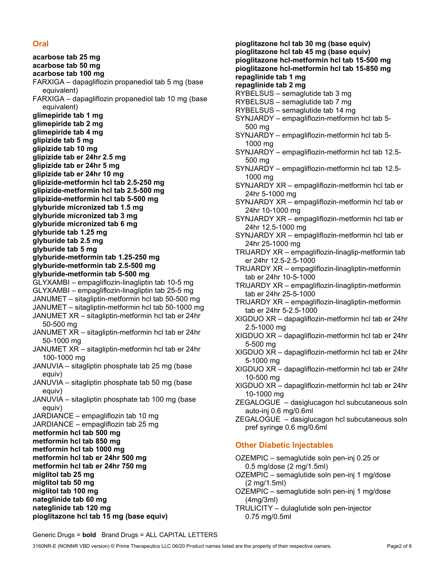## **Oral**

acarbose tab 25 mg acarbose tab 50 mg acarbose tab 100 mg FARXIGA – dapagliflozin propanediol tab 5 mg (base equivalent) FARXIGA – dapagliflozin propanediol tab 10 mg (base equivalent) glimepiride tab 1 mg glimepiride tab 2 mg glimepiride tab 4 mg glipizide tab 5 mg glipizide tab 10 mg glipizide tab er 24hr 2.5 mg glipizide tab er 24hr 5 mg glipizide tab er 24hr 10 mg glipizide-metformin hcl tab 2.5-250 mg glipizide-metformin hcl tab 2.5-500 mg glipizide-metformin hcl tab 5-500 mg glyburide micronized tab 1.5 mg glyburide micronized tab 3 mg glyburide micronized tab 6 mg glyburide tab 1.25 mg glyburide tab 2.5 mg glyburide tab 5 mg glyburide-metformin tab 1.25-250 mg glyburide-metformin tab 2.5-500 mg glyburide-metformin tab 5-500 mg GLYXAMBI – empagliflozin-linagliptin tab 10-5 mg GLYXAMBI – empagliflozin-linagliptin tab 25-5 mg JANUMET – sitagliptin-metformin hcl tab 50-500 mg JANUMET – sitagliptin-metformin hcl tab 50-1000 mg JANUMET XR – sitagliptin-metformin hcl tab er 24hr 50-500 mg JANUMET XR – sitagliptin-metformin hcl tab er 24hr 50-1000 mg JANUMET XR – sitagliptin-metformin hcl tab er 24hr 100-1000 mg JANUVIA – sitagliptin phosphate tab 25 mg (base equiv) JANUVIA – sitagliptin phosphate tab 50 mg (base equiv) JANUVIA – sitagliptin phosphate tab 100 mg (base equiv) JARDIANCE – empagliflozin tab 10 mg JARDIANCE – empagliflozin tab 25 mg metformin hcl tab 500 mg metformin hcl tab 850 mg metformin hcl tab 1000 mg metformin hcl tab er 24hr 500 mg metformin hcl tab er 24hr 750 mg miglitol tab 25 mg miglitol tab 50 mg miglitol tab 100 mg nateglinide tab 60 mg nateglinide tab 120 mg

pioglitazone hcl tab 30 mg (base equiv) pioglitazone hcl tab 45 mg (base equiv) pioglitazone hcl-metformin hcl tab 15-500 mg pioglitazone hcl-metformin hcl tab 15-850 mg repaglinide tab 1 mg repaglinide tab 2 mg RYBELSUS – semaglutide tab 3 mg RYBELSUS – semaglutide tab 7 mg RYBELSUS – semaglutide tab 14 mg SYNJARDY – empagliflozin-metformin hcl tab 5- 500 mg SYNJARDY – empagliflozin-metformin hcl tab 5- 1000 mg SYNJARDY – empagliflozin-metformin hcl tab 12.5- 500 mg SYNJARDY – empagliflozin-metformin hcl tab 12.5- 1000 mg SYNJARDY XR – empagliflozin-metformin hcl tab er 24hr 5-1000 mg SYNJARDY XR – empagliflozin-metformin hcl tab er 24hr 10-1000 mg SYNJARDY XR – empagliflozin-metformin hcl tab er 24hr 12.5-1000 mg SYNJARDY XR – empagliflozin-metformin hcl tab er 24hr 25-1000 mg TRIJARDY XR – empagliflozin-linaglip-metformin tab er 24hr 12.5-2.5-1000 TRIJARDY XR – empagliflozin-linagliptin-metformin tab er 24hr 10-5-1000 TRIJARDY XR – empagliflozin-linagliptin-metformin tab er 24hr 25-5-1000 TRIJARDY XR – empagliflozin-linagliptin-metformin tab er 24hr 5-2.5-1000 XIGDUO XR – dapagliflozin-metformin hcl tab er 24hr 2.5-1000 mg XIGDUO XR – dapagliflozin-metformin hcl tab er 24hr 5-500 mg XIGDUO XR – dapagliflozin-metformin hcl tab er 24hr 5-1000 mg XIGDUO XR – dapagliflozin-metformin hcl tab er 24hr 10-500 mg XIGDUO XR – dapagliflozin-metformin hcl tab er 24hr 10-1000 mg ZEGALOGUE – dasiglucagon hcl subcutaneous soln auto-inj 0.6 mg/0.6ml ZEGALOGUE – dasiglucagon hcl subcutaneous soln pref syringe 0.6 mg/0.6ml Other Diabetic Injectables OZEMPIC – semaglutide soln pen-inj 0.25 or 0.5 mg/dose (2 mg/1.5ml) OZEMPIC – semaglutide soln pen-inj 1 mg/dose (2 mg/1.5ml) OZEMPIC – semaglutide soln pen-inj 1 mg/dose (4mg/3ml) TRULICITY – dulaglutide soln pen-injector 0.75 mg/0.5ml

Generic Drugs = **bold** Brand Drugs = ALL CAPITAL LETTERS

pioglitazone hcl tab 15 mg (base equiv)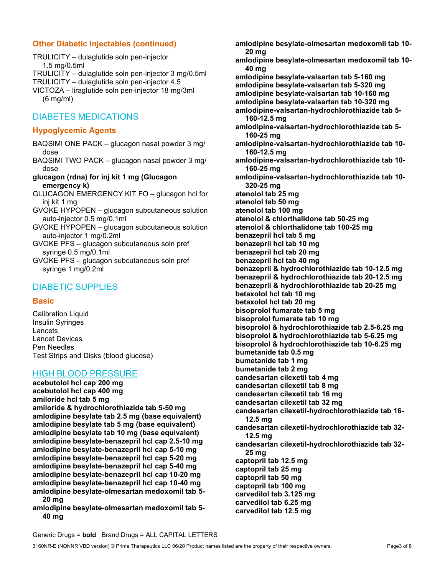## Other Diabetic Injectables (continued)

TRULICITY – dulaglutide soln pen-injector 1.5 mg/0.5ml TRULICITY – dulaglutide soln pen-injector 3 mg/0.5ml TRULICITY – dulaglutide soln pen-injector 4.5 VICTOZA – liraglutide soln pen-injector 18 mg/3ml (6 mg/ml)

# DIABETES MEDICATIONS

## Hypoglycemic Agents

- BAQSIMI ONE PACK glucagon nasal powder 3 mg/ dose
- BAQSIMI TWO PACK glucagon nasal powder 3 mg/ dose
- glucagon (rdna) for inj kit 1 mg (Glucagon emergency k)
- GLUCAGON EMERGENCY KIT FO glucagon hcl for inj kit 1 mg
- GVOKE HYPOPEN glucagon subcutaneous solution auto-injector 0.5 mg/0.1ml
- GVOKE HYPOPEN glucagon subcutaneous solution auto-injector 1 mg/0.2ml
- GVOKE PFS glucagon subcutaneous soln pref syringe 0.5 mg/0.1ml
- GVOKE PFS glucagon subcutaneous soln pref syringe 1 mg/0.2ml

## DIABETIC SUPPLIES

#### **Basic**

Calibration Liquid Insulin Syringes Lancets Lancet Devices Pen Needles Test Strips and Disks (blood glucose)

## HIGH BLOOD PRESSURE

acebutolol hcl cap 200 mg acebutolol hcl cap 400 mg amiloride hcl tab 5 mg amiloride & hydrochlorothiazide tab 5-50 mg amlodipine besylate tab 2.5 mg (base equivalent) amlodipine besylate tab 5 mg (base equivalent) amlodipine besylate tab 10 mg (base equivalent) amlodipine besylate-benazepril hcl cap 2.5-10 mg amlodipine besylate-benazepril hcl cap 5-10 mg amlodipine besylate-benazepril hcl cap 5-20 mg amlodipine besylate-benazepril hcl cap 5-40 mg amlodipine besylate-benazepril hcl cap 10-20 mg amlodipine besylate-benazepril hcl cap 10-40 mg amlodipine besylate-olmesartan medoxomil tab 5- 20 mg

amlodipine besylate-olmesartan medoxomil tab 5- 40 mg

amlodipine besylate-olmesartan medoxomil tab 10- 20 mg amlodipine besylate-olmesartan medoxomil tab 10- 40 mg amlodipine besylate-valsartan tab 5-160 mg amlodipine besylate-valsartan tab 5-320 mg amlodipine besylate-valsartan tab 10-160 mg amlodipine besylate-valsartan tab 10-320 mg amlodipine-valsartan-hydrochlorothiazide tab 5- 160-12.5 mg amlodipine-valsartan-hydrochlorothiazide tab 5- 160-25 mg amlodipine-valsartan-hydrochlorothiazide tab 10- 160-12.5 mg amlodipine-valsartan-hydrochlorothiazide tab 10- 160-25 mg amlodipine-valsartan-hydrochlorothiazide tab 10- 320-25 mg atenolol tab 25 mg atenolol tab 50 mg atenolol tab 100 mg atenolol & chlorthalidone tab 50-25 mg atenolol & chlorthalidone tab 100-25 mg benazepril hcl tab 5 mg benazepril hcl tab 10 mg benazepril hcl tab 20 mg benazepril hcl tab 40 mg benazepril & hydrochlorothiazide tab 10-12.5 mg benazepril & hydrochlorothiazide tab 20-12.5 mg benazepril & hydrochlorothiazide tab 20-25 mg betaxolol hcl tab 10 mg betaxolol hcl tab 20 mg bisoprolol fumarate tab 5 mg bisoprolol fumarate tab 10 mg bisoprolol & hydrochlorothiazide tab 2.5-6.25 mg bisoprolol & hydrochlorothiazide tab 5-6.25 mg bisoprolol & hydrochlorothiazide tab 10-6.25 mg bumetanide tab 0.5 mg bumetanide tab 1 mg bumetanide tab 2 mg candesartan cilexetil tab 4 mg candesartan cilexetil tab 8 mg candesartan cilexetil tab 16 mg candesartan cilexetil tab 32 mg candesartan cilexetil-hydrochlorothiazide tab 16- 12.5 mg candesartan cilexetil-hydrochlorothiazide tab 32- 12.5 mg candesartan cilexetil-hydrochlorothiazide tab 32- 25 mg captopril tab 12.5 mg captopril tab 25 mg captopril tab 50 mg captopril tab 100 mg carvedilol tab 3.125 mg carvedilol tab 6.25 mg carvedilol tab 12.5 mg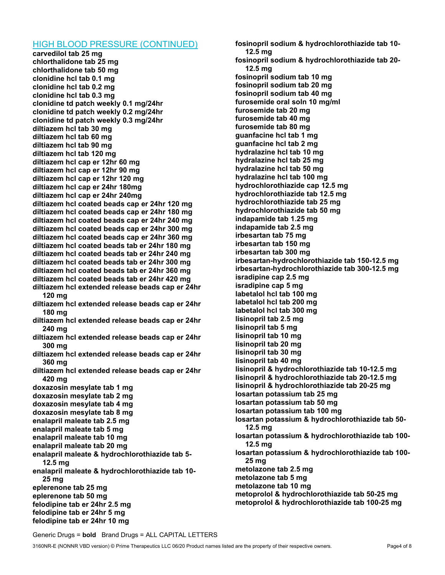#### HIGH BLOOD PRESSURE (CONTINUED)

carvedilol tab 25 mg chlorthalidone tab 25 mg chlorthalidone tab 50 mg clonidine hcl tab 0.1 mg clonidine hcl tab 0.2 mg clonidine hcl tab 0.3 mg clonidine td patch weekly 0.1 mg/24hr clonidine td patch weekly 0.2 mg/24hr clonidine td patch weekly 0.3 mg/24hr diltiazem hcl tab 30 mg diltiazem hcl tab 60 mg diltiazem hcl tab 90 mg diltiazem hcl tab 120 mg diltiazem hcl cap er 12hr 60 mg diltiazem hcl cap er 12hr 90 mg diltiazem hcl cap er 12hr 120 mg diltiazem hcl cap er 24hr 180mg diltiazem hcl cap er 24hr 240mg diltiazem hcl coated beads cap er 24hr 120 mg diltiazem hcl coated beads cap er 24hr 180 mg diltiazem hcl coated beads cap er 24hr 240 mg diltiazem hcl coated beads cap er 24hr 300 mg diltiazem hcl coated beads cap er 24hr 360 mg diltiazem hcl coated beads tab er 24hr 180 mg diltiazem hcl coated beads tab er 24hr 240 mg diltiazem hcl coated beads tab er 24hr 300 mg diltiazem hcl coated beads tab er 24hr 360 mg diltiazem hcl coated beads tab er 24hr 420 mg diltiazem hcl extended release beads cap er 24hr 120 mg diltiazem hcl extended release beads cap er 24hr 180 mg diltiazem hcl extended release beads cap er 24hr 240 mg diltiazem hcl extended release beads cap er 24hr 300 mg diltiazem hcl extended release beads cap er 24hr 360 mg diltiazem hcl extended release beads cap er 24hr 420 mg doxazosin mesylate tab 1 mg doxazosin mesylate tab 2 mg doxazosin mesylate tab 4 mg doxazosin mesylate tab 8 mg enalapril maleate tab 2.5 mg enalapril maleate tab 5 mg enalapril maleate tab 10 mg enalapril maleate tab 20 mg enalapril maleate & hydrochlorothiazide tab 5- 12.5 mg enalapril maleate & hydrochlorothiazide tab 10- 25 mg eplerenone tab 25 mg eplerenone tab 50 mg felodipine tab er 24hr 2.5 mg felodipine tab er 24hr 5 mg felodipine tab er 24hr 10 mg

fosinopril sodium & hydrochlorothiazide tab 10- 12.5 mg fosinopril sodium & hydrochlorothiazide tab 20- 12.5 mg fosinopril sodium tab 10 mg fosinopril sodium tab 20 mg fosinopril sodium tab 40 mg furosemide oral soln 10 mg/ml furosemide tab 20 mg furosemide tab 40 mg furosemide tab 80 mg guanfacine hcl tab 1 mg guanfacine hcl tab 2 mg hydralazine hcl tab 10 mg hydralazine hcl tab 25 mg hydralazine hcl tab 50 mg hydralazine hcl tab 100 mg hydrochlorothiazide cap 12.5 mg hydrochlorothiazide tab 12.5 mg hydrochlorothiazide tab 25 mg hydrochlorothiazide tab 50 mg indapamide tab 1.25 mg indapamide tab 2.5 mg irbesartan tab 75 mg irbesartan tab 150 mg irbesartan tab 300 mg irbesartan-hydrochlorothiazide tab 150-12.5 mg irbesartan-hydrochlorothiazide tab 300-12.5 mg isradipine cap 2.5 mg isradipine cap 5 mg labetalol hcl tab 100 mg labetalol hcl tab 200 mg labetalol hcl tab 300 mg lisinopril tab 2.5 mg lisinopril tab 5 mg lisinopril tab 10 mg lisinopril tab 20 mg lisinopril tab 30 mg lisinopril tab 40 mg lisinopril & hydrochlorothiazide tab 10-12.5 mg lisinopril & hydrochlorothiazide tab 20-12.5 mg lisinopril & hydrochlorothiazide tab 20-25 mg losartan potassium tab 25 mg losartan potassium tab 50 mg losartan potassium tab 100 mg losartan potassium & hydrochlorothiazide tab 50- 12.5 mg losartan potassium & hydrochlorothiazide tab 100- 12.5 mg losartan potassium & hydrochlorothiazide tab 100- 25 mg metolazone tab 2.5 mg metolazone tab 5 mg metolazone tab 10 mg metoprolol & hydrochlorothiazide tab 50-25 mg metoprolol & hydrochlorothiazide tab 100-25 mg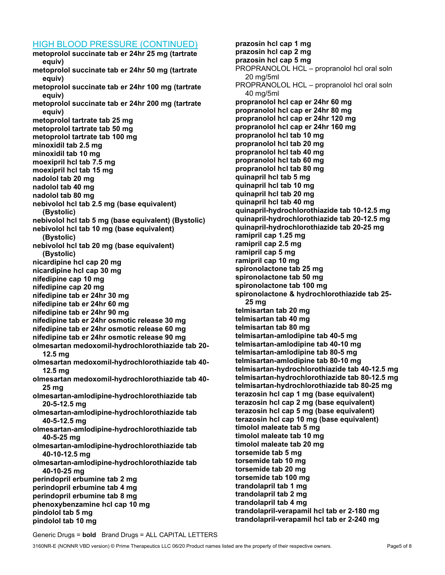#### HIGH BLOOD PRESSURE (CONTINUED)

metoprolol succinate tab er 24hr 25 mg (tartrate equiv) metoprolol succinate tab er 24hr 50 mg (tartrate equiv) metoprolol succinate tab er 24hr 100 mg (tartrate equiv) metoprolol succinate tab er 24hr 200 mg (tartrate equiv) metoprolol tartrate tab 25 mg metoprolol tartrate tab 50 mg metoprolol tartrate tab 100 mg minoxidil tab 2.5 mg minoxidil tab 10 mg moexipril hcl tab 7.5 mg moexipril hcl tab 15 mg nadolol tab 20 mg nadolol tab 40 mg nadolol tab 80 mg nebivolol hcl tab 2.5 mg (base equivalent) (Bystolic) nebivolol hcl tab 5 mg (base equivalent) (Bystolic) nebivolol hcl tab 10 mg (base equivalent) (Bystolic) nebivolol hcl tab 20 mg (base equivalent) (Bystolic) nicardipine hcl cap 20 mg nicardipine hcl cap 30 mg nifedipine cap 10 mg nifedipine cap 20 mg nifedipine tab er 24hr 30 mg nifedipine tab er 24hr 60 mg nifedipine tab er 24hr 90 mg nifedipine tab er 24hr osmotic release 30 mg nifedipine tab er 24hr osmotic release 60 mg nifedipine tab er 24hr osmotic release 90 mg olmesartan medoxomil-hydrochlorothiazide tab 20- 12.5 mg olmesartan medoxomil-hydrochlorothiazide tab 40- 12.5 mg olmesartan medoxomil-hydrochlorothiazide tab 40- 25 mg olmesartan-amlodipine-hydrochlorothiazide tab 20-5-12.5 mg olmesartan-amlodipine-hydrochlorothiazide tab 40-5-12.5 mg olmesartan-amlodipine-hydrochlorothiazide tab 40-5-25 mg olmesartan-amlodipine-hydrochlorothiazide tab 40-10-12.5 mg olmesartan-amlodipine-hydrochlorothiazide tab 40-10-25 mg perindopril erbumine tab 2 mg perindopril erbumine tab 4 mg perindopril erbumine tab 8 mg phenoxybenzamine hcl cap 10 mg pindolol tab 5 mg pindolol tab 10 mg

prazosin hcl cap 1 mg prazosin hcl cap 2 mg prazosin hcl cap 5 mg PROPRANOLOL HCL – propranolol hcl oral soln 20 mg/5ml PROPRANOLOL HCL – propranolol hcl oral soln 40 mg/5ml propranolol hcl cap er 24hr 60 mg propranolol hcl cap er 24hr 80 mg propranolol hcl cap er 24hr 120 mg propranolol hcl cap er 24hr 160 mg propranolol hcl tab 10 mg propranolol hcl tab 20 mg propranolol hcl tab 40 mg propranolol hcl tab 60 mg propranolol hcl tab 80 mg quinapril hcl tab 5 mg quinapril hcl tab 10 mg quinapril hcl tab 20 mg quinapril hcl tab 40 mg quinapril-hydrochlorothiazide tab 10-12.5 mg quinapril-hydrochlorothiazide tab 20-12.5 mg quinapril-hydrochlorothiazide tab 20-25 mg ramipril cap 1.25 mg ramipril cap 2.5 mg ramipril cap 5 mg ramipril cap 10 mg spironolactone tab 25 mg spironolactone tab 50 mg spironolactone tab 100 mg spironolactone & hydrochlorothiazide tab 25- 25 mg telmisartan tab 20 mg telmisartan tab 40 mg telmisartan tab 80 mg telmisartan-amlodipine tab 40-5 mg telmisartan-amlodipine tab 40-10 mg telmisartan-amlodipine tab 80-5 mg telmisartan-amlodipine tab 80-10 mg telmisartan-hydrochlorothiazide tab 40-12.5 mg telmisartan-hydrochlorothiazide tab 80-12.5 mg telmisartan-hydrochlorothiazide tab 80-25 mg terazosin hcl cap 1 mg (base equivalent) terazosin hcl cap 2 mg (base equivalent) terazosin hcl cap 5 mg (base equivalent) terazosin hcl cap 10 mg (base equivalent) timolol maleate tab 5 mg timolol maleate tab 10 mg timolol maleate tab 20 mg torsemide tab 5 mg torsemide tab 10 mg torsemide tab 20 mg torsemide tab 100 mg trandolapril tab 1 mg trandolapril tab 2 mg trandolapril tab 4 mg trandolapril-verapamil hcl tab er 2-180 mg trandolapril-verapamil hcl tab er 2-240 mg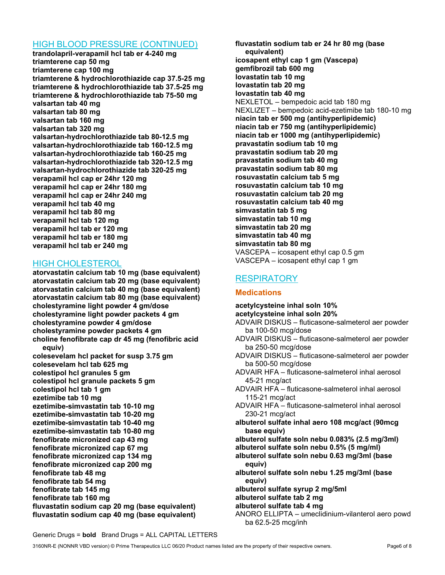## HIGH BLOOD PRESSURE (CONTINUED)

trandolapril-verapamil hcl tab er 4-240 mg triamterene cap 50 mg triamterene cap 100 mg triamterene & hydrochlorothiazide cap 37.5-25 mg triamterene & hydrochlorothiazide tab 37.5-25 mg triamterene & hydrochlorothiazide tab 75-50 mg valsartan tab 40 mg valsartan tab 80 mg valsartan tab 160 mg valsartan tab 320 mg valsartan-hydrochlorothiazide tab 80-12.5 mg valsartan-hydrochlorothiazide tab 160-12.5 mg valsartan-hydrochlorothiazide tab 160-25 mg valsartan-hydrochlorothiazide tab 320-12.5 mg valsartan-hydrochlorothiazide tab 320-25 mg verapamil hcl cap er 24hr 120 mg verapamil hcl cap er 24hr 180 mg verapamil hcl cap er 24hr 240 mg verapamil hcl tab 40 mg verapamil hcl tab 80 mg verapamil hcl tab 120 mg verapamil hcl tab er 120 mg verapamil hcl tab er 180 mg verapamil hcl tab er 240 mg

## HIGH CHOLESTEROL

atorvastatin calcium tab 10 mg (base equivalent) atorvastatin calcium tab 20 mg (base equivalent) atorvastatin calcium tab 40 mg (base equivalent) atorvastatin calcium tab 80 mg (base equivalent) cholestyramine light powder 4 gm/dose cholestyramine light powder packets 4 gm cholestyramine powder 4 gm/dose cholestyramine powder packets 4 gm choline fenofibrate cap dr 45 mg (fenofibric acid equiv) colesevelam hcl packet for susp 3.75 gm colesevelam hcl tab 625 mg colestipol hcl granules 5 gm colestipol hcl granule packets 5 gm colestipol hcl tab 1 gm ezetimibe tab 10 mg ezetimibe-simvastatin tab 10-10 mg ezetimibe-simvastatin tab 10-20 mg ezetimibe-simvastatin tab 10-40 mg ezetimibe-simvastatin tab 10-80 mg fenofibrate micronized cap 43 mg fenofibrate micronized cap 67 mg fenofibrate micronized cap 134 mg fenofibrate micronized cap 200 mg fenofibrate tab 48 mg fenofibrate tab 54 mg fenofibrate tab 145 mg fenofibrate tab 160 mg fluvastatin sodium cap 20 mg (base equivalent) fluvastatin sodium cap 40 mg (base equivalent)

fluvastatin sodium tab er 24 hr 80 mg (base equivalent) icosapent ethyl cap 1 gm (Vascepa) gemfibrozil tab 600 mg lovastatin tab 10 mg lovastatin tab 20 mg lovastatin tab 40 mg NEXLETOL – bempedoic acid tab 180 mg NEXLIZET – bempedoic acid-ezetimibe tab 180-10 mg niacin tab er 500 mg (antihyperlipidemic) niacin tab er 750 mg (antihyperlipidemic) niacin tab er 1000 mg (antihyperlipidemic) pravastatin sodium tab 10 mg pravastatin sodium tab 20 mg pravastatin sodium tab 40 mg pravastatin sodium tab 80 mg rosuvastatin calcium tab 5 mg rosuvastatin calcium tab 10 mg rosuvastatin calcium tab 20 mg rosuvastatin calcium tab 40 mg simvastatin tab 5 mg simvastatin tab 10 mg simvastatin tab 20 mg simvastatin tab 40 mg simvastatin tab 80 mg VASCEPA – icosapent ethyl cap 0.5 gm VASCEPA – icosapent ethyl cap 1 gm

# **RESPIRATORY**

## **Medications**

acetylcysteine inhal soln 10% acetylcysteine inhal soln 20% ADVAIR DISKUS – fluticasone-salmeterol aer powder ba 100-50 mcg/dose ADVAIR DISKUS – fluticasone-salmeterol aer powder ba 250-50 mcg/dose ADVAIR DISKUS – fluticasone-salmeterol aer powder ba 500-50 mcg/dose ADVAIR HFA – fluticasone-salmeterol inhal aerosol 45-21 mcg/act ADVAIR HFA – fluticasone-salmeterol inhal aerosol 115-21 mcg/act ADVAIR HFA – fluticasone-salmeterol inhal aerosol 230-21 mcg/act albuterol sulfate inhal aero 108 mcg/act (90mcg base equiv) albuterol sulfate soln nebu 0.083% (2.5 mg/3ml) albuterol sulfate soln nebu 0.5% (5 mg/ml) albuterol sulfate soln nebu 0.63 mg/3ml (base equiv) albuterol sulfate soln nebu 1.25 mg/3ml (base equiv) albuterol sulfate syrup 2 mg/5ml albuterol sulfate tab 2 mg albuterol sulfate tab 4 mg ANORO ELLIPTA – umeclidinium-vilanterol aero powd ba 62.5-25 mcg/inh